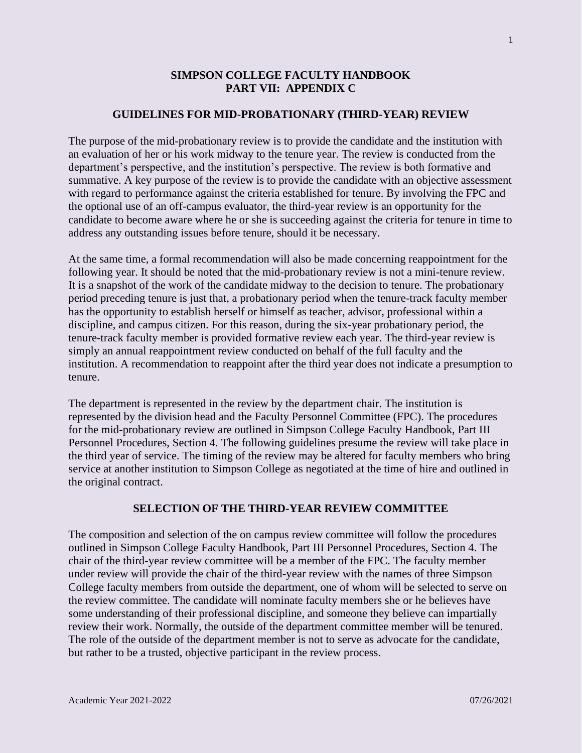## **SIMPSON COLLEGE FACULTY HANDBOOK PART VII: APPENDIX C**

### **GUIDELINES FOR MID-PROBATIONARY (THIRD-YEAR) REVIEW**

The purpose of the mid-probationary review is to provide the candidate and the institution with an evaluation of her or his work midway to the tenure year. The review is conducted from the department's perspective, and the institution's perspective. The review is both formative and summative. A key purpose of the review is to provide the candidate with an objective assessment with regard to performance against the criteria established for tenure. By involving the FPC and the optional use of an off-campus evaluator, the third-year review is an opportunity for the candidate to become aware where he or she is succeeding against the criteria for tenure in time to address any outstanding issues before tenure, should it be necessary.

At the same time, a formal recommendation will also be made concerning reappointment for the following year. It should be noted that the mid-probationary review is not a mini-tenure review. It is a snapshot of the work of the candidate midway to the decision to tenure. The probationary period preceding tenure is just that, a probationary period when the tenure-track faculty member has the opportunity to establish herself or himself as teacher, advisor, professional within a discipline, and campus citizen. For this reason, during the six-year probationary period, the tenure-track faculty member is provided formative review each year. The third-year review is simply an annual reappointment review conducted on behalf of the full faculty and the institution. A recommendation to reappoint after the third year does not indicate a presumption to tenure.

The department is represented in the review by the department chair. The institution is represented by the division head and the Faculty Personnel Committee (FPC). The procedures for the mid-probationary review are outlined in Simpson College Faculty Handbook, Part III Personnel Procedures, Section 4. The following guidelines presume the review will take place in the third year of service. The timing of the review may be altered for faculty members who bring service at another institution to Simpson College as negotiated at the time of hire and outlined in the original contract.

#### **SELECTION OF THE THIRD-YEAR REVIEW COMMITTEE**

The composition and selection of the on campus review committee will follow the procedures outlined in Simpson College Faculty Handbook, Part III Personnel Procedures, Section 4. The chair of the third-year review committee will be a member of the FPC. The faculty member under review will provide the chair of the third-year review with the names of three Simpson College faculty members from outside the department, one of whom will be selected to serve on the review committee. The candidate will nominate faculty members she or he believes have some understanding of their professional discipline, and someone they believe can impartially review their work. Normally, the outside of the department committee member will be tenured. The role of the outside of the department member is not to serve as advocate for the candidate, but rather to be a trusted, objective participant in the review process.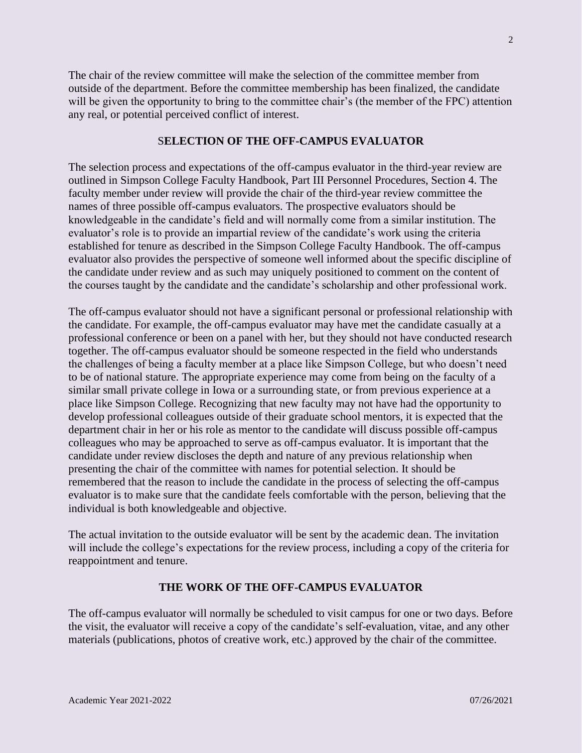The chair of the review committee will make the selection of the committee member from outside of the department. Before the committee membership has been finalized, the candidate will be given the opportunity to bring to the committee chair's (the member of the FPC) attention any real, or potential perceived conflict of interest.

# S**ELECTION OF THE OFF-CAMPUS EVALUATOR**

The selection process and expectations of the off-campus evaluator in the third-year review are outlined in Simpson College Faculty Handbook, Part III Personnel Procedures, Section 4. The faculty member under review will provide the chair of the third-year review committee the names of three possible off-campus evaluators. The prospective evaluators should be knowledgeable in the candidate's field and will normally come from a similar institution. The evaluator's role is to provide an impartial review of the candidate's work using the criteria established for tenure as described in the Simpson College Faculty Handbook. The off-campus evaluator also provides the perspective of someone well informed about the specific discipline of the candidate under review and as such may uniquely positioned to comment on the content of the courses taught by the candidate and the candidate's scholarship and other professional work.

The off-campus evaluator should not have a significant personal or professional relationship with the candidate. For example, the off-campus evaluator may have met the candidate casually at a professional conference or been on a panel with her, but they should not have conducted research together. The off-campus evaluator should be someone respected in the field who understands the challenges of being a faculty member at a place like Simpson College, but who doesn't need to be of national stature. The appropriate experience may come from being on the faculty of a similar small private college in Iowa or a surrounding state, or from previous experience at a place like Simpson College. Recognizing that new faculty may not have had the opportunity to develop professional colleagues outside of their graduate school mentors, it is expected that the department chair in her or his role as mentor to the candidate will discuss possible off-campus colleagues who may be approached to serve as off-campus evaluator. It is important that the candidate under review discloses the depth and nature of any previous relationship when presenting the chair of the committee with names for potential selection. It should be remembered that the reason to include the candidate in the process of selecting the off-campus evaluator is to make sure that the candidate feels comfortable with the person, believing that the individual is both knowledgeable and objective.

The actual invitation to the outside evaluator will be sent by the academic dean. The invitation will include the college's expectations for the review process, including a copy of the criteria for reappointment and tenure.

### **THE WORK OF THE OFF-CAMPUS EVALUATOR**

The off-campus evaluator will normally be scheduled to visit campus for one or two days. Before the visit, the evaluator will receive a copy of the candidate's self-evaluation, vitae, and any other materials (publications, photos of creative work, etc.) approved by the chair of the committee.